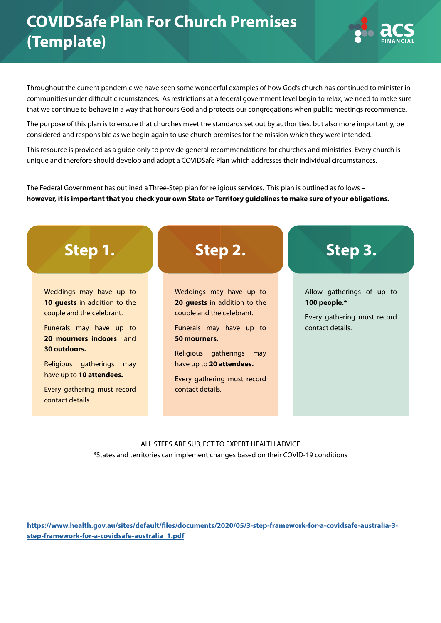## **COVIDSafe Plan For Church Premises (Template)**



Throughout the current pandemic we have seen some wonderful examples of how God's church has continued to minister in communities under difficult circumstances. As restrictions at a federal government level begin to relax, we need to make sure that we continue to behave in a way that honours God and protects our congregations when public meetings recommence.

The purpose of this plan is to ensure that churches meet the standards set out by authorities, but also more importantly, be considered and responsible as we begin again to use church premises for the mission which they were intended.

This resource is provided as a guide only to provide general recommendations for churches and ministries. Every church is unique and therefore should develop and adopt a COVIDSafe Plan which addresses their individual circumstances.

The Federal Government has outlined a Three-Step plan for religious services. This plan is outlined as follows – **however, it is important that you check your own State or Territory guidelines to make sure of your obligations.**



ALL STEPS ARE SUBJECT TO EXPERT HEALTH ADVICE \*States and territories can implement changes based on their COVID-19 conditions

**[https://www.health.gov.au/sites/default/files/documents/2020/05/3-step-framework-for-a-covidsafe-australia-3](https://www.health.gov.au/sites/default/files/documents/2020/05/3-step-framework-for-a-covidsafe-australia-3-step-framework-for-a-covidsafe-australia_1.pdf) [step-framework-for-a-covidsafe-australia\\_1.pdf](https://www.health.gov.au/sites/default/files/documents/2020/05/3-step-framework-for-a-covidsafe-australia-3-step-framework-for-a-covidsafe-australia_1.pdf)**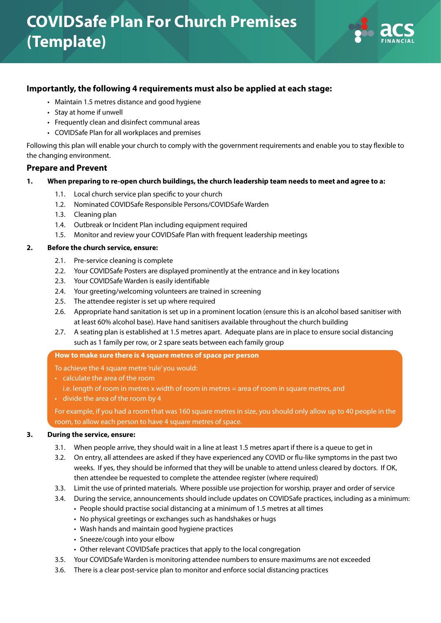

## **Importantly, the following 4 requirements must also be applied at each stage:**

- Maintain 1.5 metres distance and good hygiene
- Stay at home if unwell
- Frequently clean and disinfect communal areas
- COVIDSafe Plan for all workplaces and premises

Following this plan will enable your church to comply with the government requirements and enable you to stay flexible to the changing environment.

#### **Prepare and Prevent**

#### **1. When preparing to re-open church buildings, the church leadership team needs to meet and agree to a:**

- 1.1. Local church service plan specific to your church
- 1.2. Nominated COVIDSafe Responsible Persons/COVIDSafe Warden
- 1.3. Cleaning plan
- 1.4. Outbreak or Incident Plan including equipment required
- 1.5. Monitor and review your COVIDSafe Plan with frequent leadership meetings

#### **2. Before the church service, ensure:**

- 2.1. Pre-service cleaning is complete
- 2.2. Your COVIDSafe Posters are displayed prominently at the entrance and in key locations
- 2.3. Your COVIDSafe Warden is easily identifiable
- 2.4. Your greeting/welcoming volunteers are trained in screening
- 2.5. The attendee register is set up where required
- 2.6. Appropriate hand sanitation is set up in a prominent location (ensure this is an alcohol based sanitiser with at least 60% alcohol base). Have hand sanitisers available throughout the church building
- 2.7. A seating plan is established at 1.5 metres apart. Adequate plans are in place to ensure social distancing such as 1 family per row, or 2 spare seats between each family group

#### **How to make sure there is 4 square metres of space per person**

To achieve the 4 square metre 'rule' you would:

- calculate the area of the room
	- i.e. length of room in metres x width of room in metres = area of room in square metres, and
- divide the area of the room by 4

 For example, if you had a room that was 160 square metres in size, you should only allow up to 40 people in the room, to allow each person to have 4 square metres of space.

#### **3. During the service, ensure:**

- 3.1. When people arrive, they should wait in a line at least 1.5 metres apart if there is a queue to get in
- 3.2. On entry, all attendees are asked if they have experienced any COVID or flu-like symptoms in the past two weeks. If yes, they should be informed that they will be unable to attend unless cleared by doctors. If OK, then attendee be requested to complete the attendee register (where required)
- 3.3. Limit the use of printed materials. Where possible use projection for worship, prayer and order of service
- 3.4. During the service, announcements should include updates on COVIDSafe practices, including as a minimum:
	- People should practise social distancing at a minimum of 1.5 metres at all times
	- No physical greetings or exchanges such as handshakes or hugs
	- Wash hands and maintain good hygiene practices
	- Sneeze/cough into your elbow
	- Other relevant COVIDSafe practices that apply to the local congregation
- 3.5. Your COVIDSafe Warden is monitoring attendee numbers to ensure maximums are not exceeded
- 3.6. There is a clear post-service plan to monitor and enforce social distancing practices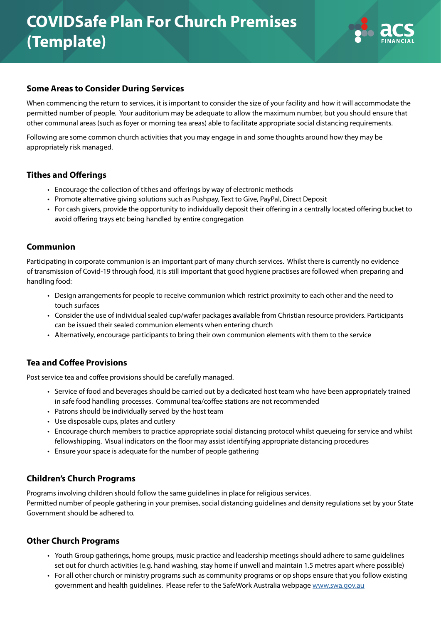# **COVIDSafe Plan For Church Premises (Template)**



## **Some Areas to Consider During Services**

When commencing the return to services, it is important to consider the size of your facility and how it will accommodate the permitted number of people. Your auditorium may be adequate to allow the maximum number, but you should ensure that other communal areas (such as foyer or morning tea areas) able to facilitate appropriate social distancing requirements.

Following are some common church activities that you may engage in and some thoughts around how they may be appropriately risk managed.

## **Tithes and Offerings**

- Encourage the collection of tithes and offerings by way of electronic methods
- Promote alternative giving solutions such as Pushpay, Text to Give, PayPal, Direct Deposit
- For cash givers, provide the opportunity to individually deposit their offering in a centrally located offering bucket to avoid offering trays etc being handled by entire congregation

## **Communion**

Participating in corporate communion is an important part of many church services. Whilst there is currently no evidence of transmission of Covid-19 through food, it is still important that good hygiene practises are followed when preparing and handling food:

- Design arrangements for people to receive communion which restrict proximity to each other and the need to touch surfaces
- Consider the use of individual sealed cup/wafer packages available from Christian resource providers. Participants can be issued their sealed communion elements when entering church
- Alternatively, encourage participants to bring their own communion elements with them to the service

## **Tea and Coffee Provisions**

Post service tea and coffee provisions should be carefully managed.

- Service of food and beverages should be carried out by a dedicated host team who have been appropriately trained in safe food handling processes. Communal tea/coffee stations are not recommended
- Patrons should be individually served by the host team
- Use disposable cups, plates and cutlery
- Encourage church members to practice appropriate social distancing protocol whilst queueing for service and whilst fellowshipping. Visual indicators on the floor may assist identifying appropriate distancing procedures
- Ensure your space is adequate for the number of people gathering

## **Children's Church Programs**

Programs involving children should follow the same guidelines in place for religious services.

Permitted number of people gathering in your premises, social distancing guidelines and density regulations set by your State Government should be adhered to.

## **Other Church Programs**

- Youth Group gatherings, home groups, music practice and leadership meetings should adhere to same guidelines set out for church activities (e.g. hand washing, stay home if unwell and maintain 1.5 metres apart where possible)
- For all other church or ministry programs such as community programs or op shops ensure that you follow existing government and health guidelines. Please refer to the SafeWork Australia webpage [www.swa.gov.au](http://www.swa.gov.au)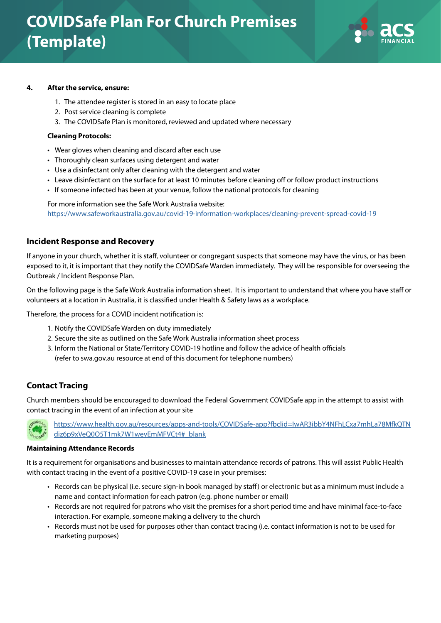

#### **4. After the service, ensure:**

- 1. The attendee register is stored in an easy to locate place
- 2. Post service cleaning is complete
- 3. The COVIDSafe Plan is monitored, reviewed and updated where necessary

#### **Cleaning Protocols:**

- Wear gloves when cleaning and discard after each use
- Thoroughly clean surfaces using detergent and water
- Use a disinfectant only after cleaning with the detergent and water
- Leave disinfectant on the surface for at least 10 minutes before cleaning off or follow product instructions
- If someone infected has been at your venue, follow the national protocols for cleaning

For more information see the Safe Work Australia website: <https://www.safeworkaustralia.gov.au/covid-19-information-workplaces/cleaning-prevent-spread-covid-19>

### **Incident Response and Recovery**

If anyone in your church, whether it is staff, volunteer or congregant suspects that someone may have the virus, or has been exposed to it, it is important that they notify the COVIDSafe Warden immediately. They will be responsible for overseeing the Outbreak / Incident Response Plan.

On the following page is the Safe Work Australia information sheet. It is important to understand that where you have staff or volunteers at a location in Australia, it is classified under Health & Safety laws as a workplace.

Therefore, the process for a COVID incident notification is:

- 1. Notify the COVIDSafe Warden on duty immediately
- 2. Secure the site as outlined on the Safe Work Australia information sheet process
- 3. Inform the National or State/Territory COVID-19 hotline and follow the advice of health officials (refer to swa.gov.au resource at end of this document for telephone numbers)

#### **Contact Tracing**

Church members should be encouraged to download the Federal Government COVIDSafe app in the attempt to assist with contact tracing in the event of an infection at your site



[https://www.health.gov.au/resources/apps-and-tools/COVIDSafe-app?fbclid=IwAR3ibbY4NFhLCxa7mhLa78MfkQTN](https://www.health.gov.au/resources/apps-and-tools/COVIDSafe-app?fbclid=IwAR3ibbY4NFhLCxa7mhLa78MfkQTNdiz6p9xVeQ0O5T1mk7W1wevEmMFVCt4#_blank) [diz6p9xVeQ0O5T1mk7W1wevEmMFVCt4#\\_blank](https://www.health.gov.au/resources/apps-and-tools/COVIDSafe-app?fbclid=IwAR3ibbY4NFhLCxa7mhLa78MfkQTNdiz6p9xVeQ0O5T1mk7W1wevEmMFVCt4#_blank)

#### **Maintaining Attendance Records**

It is a requirement for organisations and businesses to maintain attendance records of patrons. This will assist Public Health with contact tracing in the event of a positive COVID-19 case in your premises:

- Records can be physical (i.e. secure sign-in book managed by staff) or electronic but as a minimum must include a name and contact information for each patron (e.g. phone number or email)
- Records are not required for patrons who visit the premises for a short period time and have minimal face-to-face interaction. For example, someone making a delivery to the church
- Records must not be used for purposes other than contact tracing (i.e. contact information is not to be used for marketing purposes)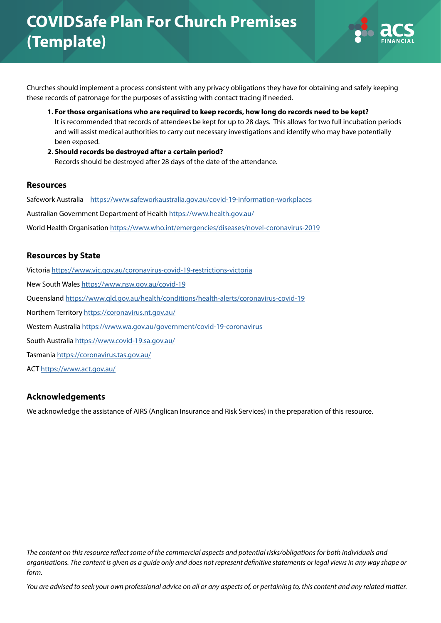

Churches should implement a process consistent with any privacy obligations they have for obtaining and safely keeping these records of patronage for the purposes of assisting with contact tracing if needed.

- **1. For those organisations who are required to keep records, how long do records need to be kept?** It is recommended that records of attendees be kept for up to 28 days. This allows for two full incubation periods and will assist medical authorities to carry out necessary investigations and identify who may have potentially been exposed.
- **2. Should records be destroyed after a certain period?** Records should be destroyed after 28 days of the date of the attendance.

## **Resources**

Safework Australia – <https://www.safeworkaustralia.gov.au/covid-19-information-workplaces> Australian Government Department of Health<https://www.health.gov.au/> World Health Organisation <https://www.who.int/emergencies/diseases/novel-coronavirus-2019>

## **Resources by State**

Victoria <https://www.vic.gov.au/coronavirus-covid-19-restrictions-victoria> New South Wales<https://www.nsw.gov.au/covid-19> Queensland<https://www.qld.gov.au/health/conditions/health-alerts/coronavirus-covid-19> Northern Territory<https://coronavirus.nt.gov.au/> Western Australia <https://www.wa.gov.au/government/covid-19-coronavirus> South Australia<https://www.covid-19.sa.gov.au/> Tasmania<https://coronavirus.tas.gov.au/>

ACT<https://www.act.gov.au/>

## **Acknowledgements**

We acknowledge the assistance of AIRS (Anglican Insurance and Risk Services) in the preparation of this resource.

*The content on this resource reflect some of the commercial aspects and potential risks/obligations for both individuals and organisations. The content is given as a guide only and does not represent definitive statements or legal views in any way shape or form.*

*You are advised to seek your own professional advice on all or any aspects of, or pertaining to, this content and any related matter.*